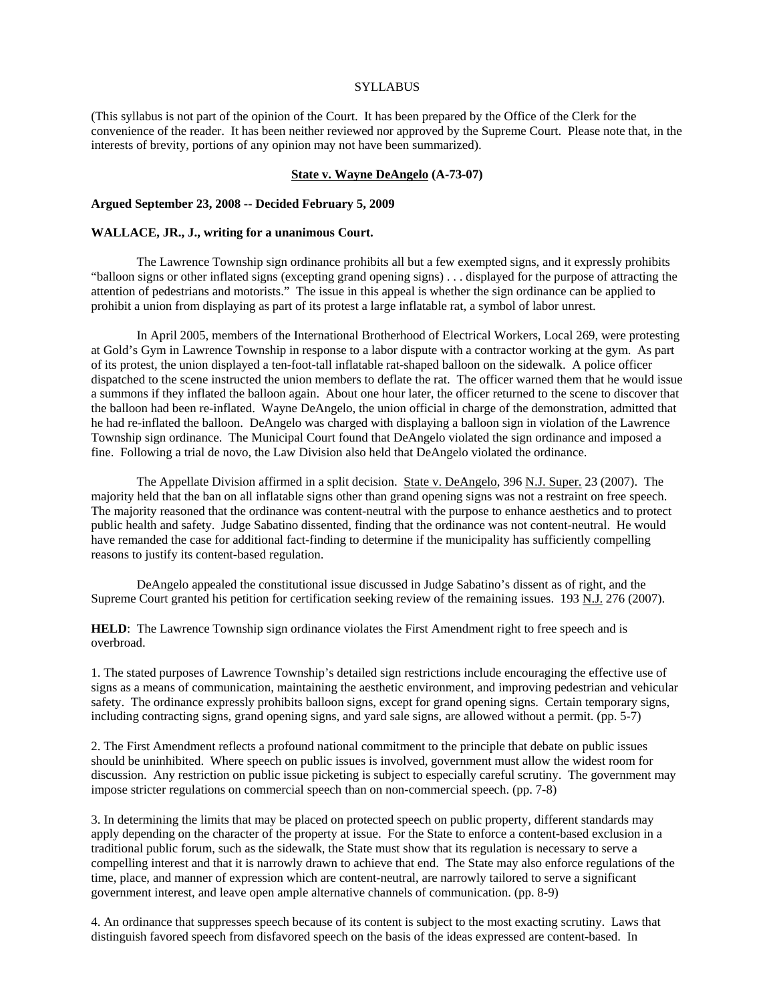### SYLLABUS

(This syllabus is not part of the opinion of the Court. It has been prepared by the Office of the Clerk for the convenience of the reader. It has been neither reviewed nor approved by the Supreme Court. Please note that, in the interests of brevity, portions of any opinion may not have been summarized).

## **State v. Wayne DeAngelo (A-73-07)**

## **Argued September 23, 2008 -- Decided February 5, 2009**

#### **WALLACE, JR., J., writing for a unanimous Court.**

The Lawrence Township sign ordinance prohibits all but a few exempted signs, and it expressly prohibits "balloon signs or other inflated signs (excepting grand opening signs) . . . displayed for the purpose of attracting the attention of pedestrians and motorists." The issue in this appeal is whether the sign ordinance can be applied to prohibit a union from displaying as part of its protest a large inflatable rat, a symbol of labor unrest.

In April 2005, members of the International Brotherhood of Electrical Workers, Local 269, were protesting at Gold's Gym in Lawrence Township in response to a labor dispute with a contractor working at the gym. As part of its protest, the union displayed a ten-foot-tall inflatable rat-shaped balloon on the sidewalk. A police officer dispatched to the scene instructed the union members to deflate the rat. The officer warned them that he would issue a summons if they inflated the balloon again. About one hour later, the officer returned to the scene to discover that the balloon had been re-inflated. Wayne DeAngelo, the union official in charge of the demonstration, admitted that he had re-inflated the balloon. DeAngelo was charged with displaying a balloon sign in violation of the Lawrence Township sign ordinance. The Municipal Court found that DeAngelo violated the sign ordinance and imposed a fine. Following a trial de novo, the Law Division also held that DeAngelo violated the ordinance.

The Appellate Division affirmed in a split decision. State v. DeAngelo, 396 N.J. Super. 23 (2007). The majority held that the ban on all inflatable signs other than grand opening signs was not a restraint on free speech. The majority reasoned that the ordinance was content-neutral with the purpose to enhance aesthetics and to protect public health and safety. Judge Sabatino dissented, finding that the ordinance was not content-neutral. He would have remanded the case for additional fact-finding to determine if the municipality has sufficiently compelling reasons to justify its content-based regulation.

DeAngelo appealed the constitutional issue discussed in Judge Sabatino's dissent as of right, and the Supreme Court granted his petition for certification seeking review of the remaining issues. 193 N.J. 276 (2007).

**HELD**: The Lawrence Township sign ordinance violates the First Amendment right to free speech and is overbroad.

1. The stated purposes of Lawrence Township's detailed sign restrictions include encouraging the effective use of signs as a means of communication, maintaining the aesthetic environment, and improving pedestrian and vehicular safety. The ordinance expressly prohibits balloon signs, except for grand opening signs. Certain temporary signs, including contracting signs, grand opening signs, and yard sale signs, are allowed without a permit. (pp. 5-7)

2. The First Amendment reflects a profound national commitment to the principle that debate on public issues should be uninhibited. Where speech on public issues is involved, government must allow the widest room for discussion. Any restriction on public issue picketing is subject to especially careful scrutiny. The government may impose stricter regulations on commercial speech than on non-commercial speech. (pp. 7-8)

3. In determining the limits that may be placed on protected speech on public property, different standards may apply depending on the character of the property at issue. For the State to enforce a content-based exclusion in a traditional public forum, such as the sidewalk, the State must show that its regulation is necessary to serve a compelling interest and that it is narrowly drawn to achieve that end. The State may also enforce regulations of the time, place, and manner of expression which are content-neutral, are narrowly tailored to serve a significant government interest, and leave open ample alternative channels of communication. (pp. 8-9)

4. An ordinance that suppresses speech because of its content is subject to the most exacting scrutiny. Laws that distinguish favored speech from disfavored speech on the basis of the ideas expressed are content-based. In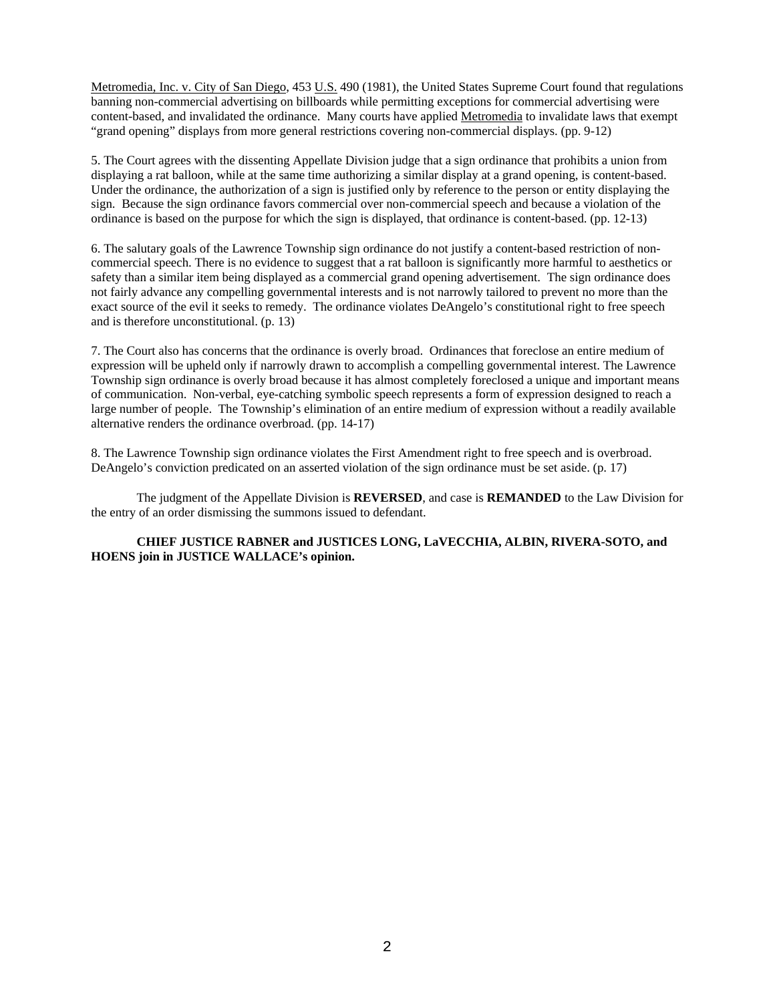Metromedia, Inc. v. City of San Diego, 453 U.S. 490 (1981), the United States Supreme Court found that regulations banning non-commercial advertising on billboards while permitting exceptions for commercial advertising were content-based, and invalidated the ordinance. Many courts have applied Metromedia to invalidate laws that exempt "grand opening" displays from more general restrictions covering non-commercial displays. (pp. 9-12)

5. The Court agrees with the dissenting Appellate Division judge that a sign ordinance that prohibits a union from displaying a rat balloon, while at the same time authorizing a similar display at a grand opening, is content-based. Under the ordinance, the authorization of a sign is justified only by reference to the person or entity displaying the sign. Because the sign ordinance favors commercial over non-commercial speech and because a violation of the ordinance is based on the purpose for which the sign is displayed, that ordinance is content-based. (pp. 12-13)

6. The salutary goals of the Lawrence Township sign ordinance do not justify a content-based restriction of noncommercial speech. There is no evidence to suggest that a rat balloon is significantly more harmful to aesthetics or safety than a similar item being displayed as a commercial grand opening advertisement. The sign ordinance does not fairly advance any compelling governmental interests and is not narrowly tailored to prevent no more than the exact source of the evil it seeks to remedy. The ordinance violates DeAngelo's constitutional right to free speech and is therefore unconstitutional. (p. 13)

7. The Court also has concerns that the ordinance is overly broad. Ordinances that foreclose an entire medium of expression will be upheld only if narrowly drawn to accomplish a compelling governmental interest. The Lawrence Township sign ordinance is overly broad because it has almost completely foreclosed a unique and important means of communication. Non-verbal, eye-catching symbolic speech represents a form of expression designed to reach a large number of people. The Township's elimination of an entire medium of expression without a readily available alternative renders the ordinance overbroad. (pp. 14-17)

8. The Lawrence Township sign ordinance violates the First Amendment right to free speech and is overbroad. DeAngelo's conviction predicated on an asserted violation of the sign ordinance must be set aside. (p. 17)

The judgment of the Appellate Division is **REVERSED**, and case is **REMANDED** to the Law Division for the entry of an order dismissing the summons issued to defendant.

**CHIEF JUSTICE RABNER and JUSTICES LONG, LaVECCHIA, ALBIN, RIVERA-SOTO, and HOENS join in JUSTICE WALLACE's opinion.**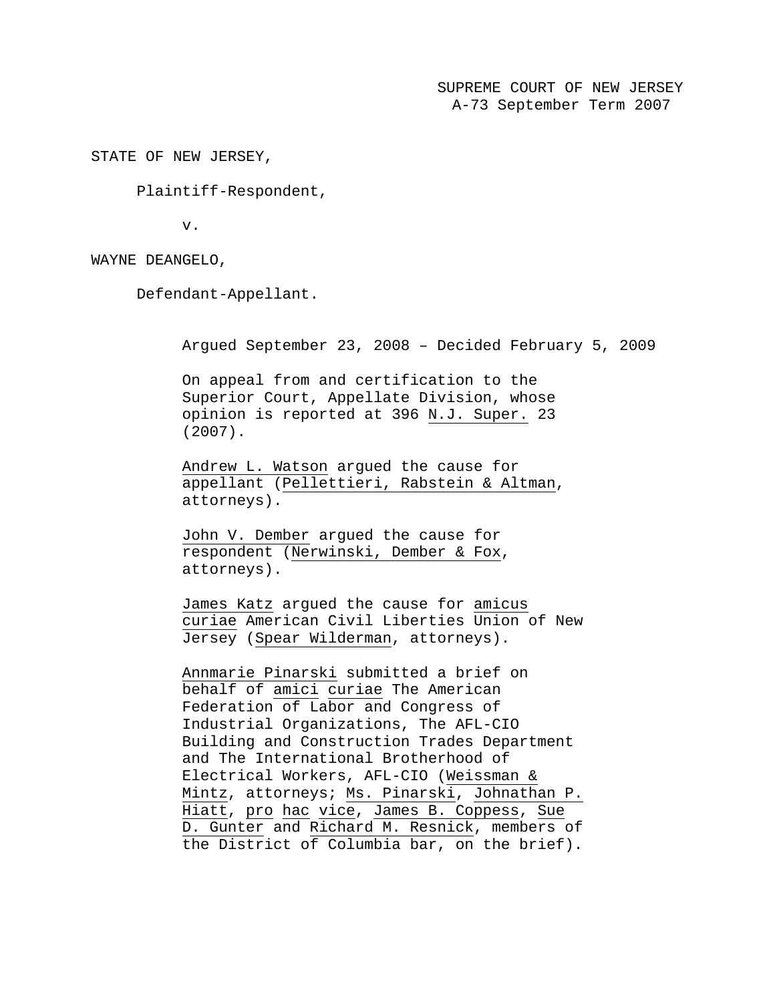SUPREME COURT OF NEW JERSEY A-73 September Term 2007

STATE OF NEW JERSEY,

Plaintiff-Respondent,

v.

WAYNE DEANGELO,

Defendant-Appellant.

Argued September 23, 2008 – Decided February 5, 2009

On appeal from and certification to the Superior Court, Appellate Division, whose opinion is reported at 396 N.J. Super. 23 (2007).

Andrew L. Watson argued the cause for appellant (Pellettieri, Rabstein & Altman, attorneys).

John V. Dember argued the cause for respondent (Nerwinski, Dember & Fox, attorneys).

James Katz argued the cause for amicus curiae American Civil Liberties Union of New Jersey (Spear Wilderman, attorneys).

Annmarie Pinarski submitted a brief on behalf of amici curiae The American Federation of Labor and Congress of Industrial Organizations, The AFL-CIO Building and Construction Trades Department and The International Brotherhood of Electrical Workers, AFL-CIO (Weissman & Mintz, attorneys; Ms. Pinarski, Johnathan P. Hiatt, pro hac vice, James B. Coppess, Sue D. Gunter and Richard M. Resnick, members of the District of Columbia bar, on the brief).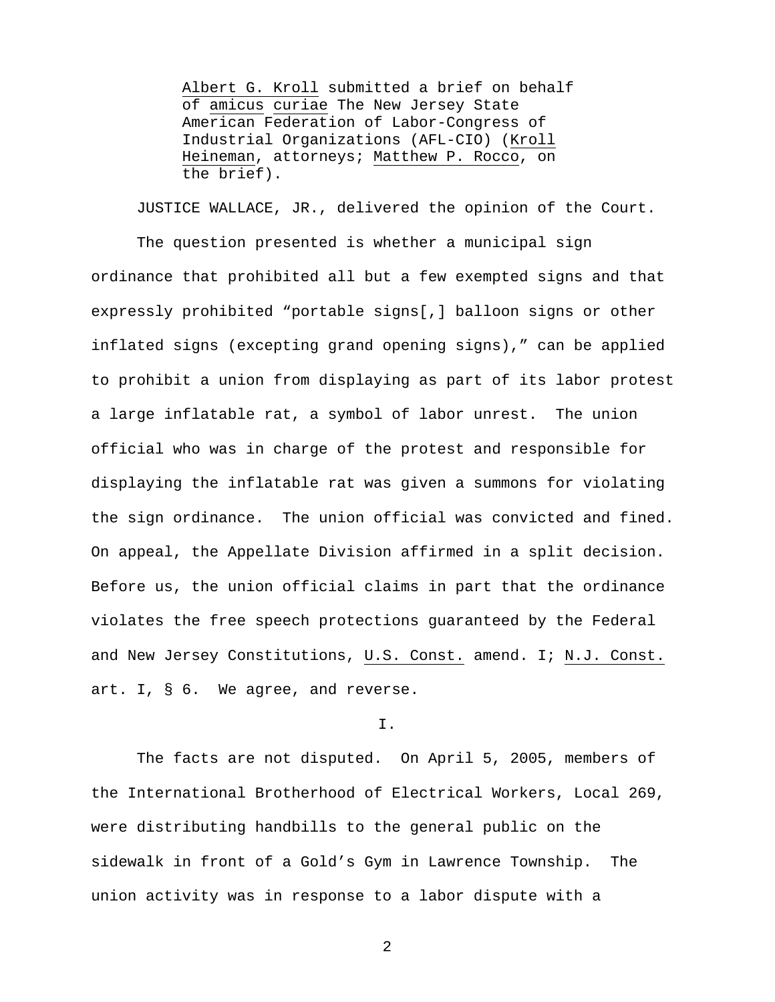Albert G. Kroll submitted a brief on behalf of amicus curiae The New Jersey State American Federation of Labor-Congress of Industrial Organizations (AFL-CIO) (Kroll Heineman, attorneys; Matthew P. Rocco, on the brief).

JUSTICE WALLACE, JR., delivered the opinion of the Court. The question presented is whether a municipal sign ordinance that prohibited all but a few exempted signs and that expressly prohibited "portable signs[,] balloon signs or other inflated signs (excepting grand opening signs)," can be applied to prohibit a union from displaying as part of its labor protest a large inflatable rat, a symbol of labor unrest. The union official who was in charge of the protest and responsible for displaying the inflatable rat was given a summons for violating the sign ordinance. The union official was convicted and fined. On appeal, the Appellate Division affirmed in a split decision. Before us, the union official claims in part that the ordinance violates the free speech protections guaranteed by the Federal and New Jersey Constitutions, U.S. Const. amend. I; N.J. Const. art. I, § 6. We agree, and reverse.

## I.

The facts are not disputed. On April 5, 2005, members of the International Brotherhood of Electrical Workers, Local 269, were distributing handbills to the general public on the sidewalk in front of a Gold's Gym in Lawrence Township. The union activity was in response to a labor dispute with a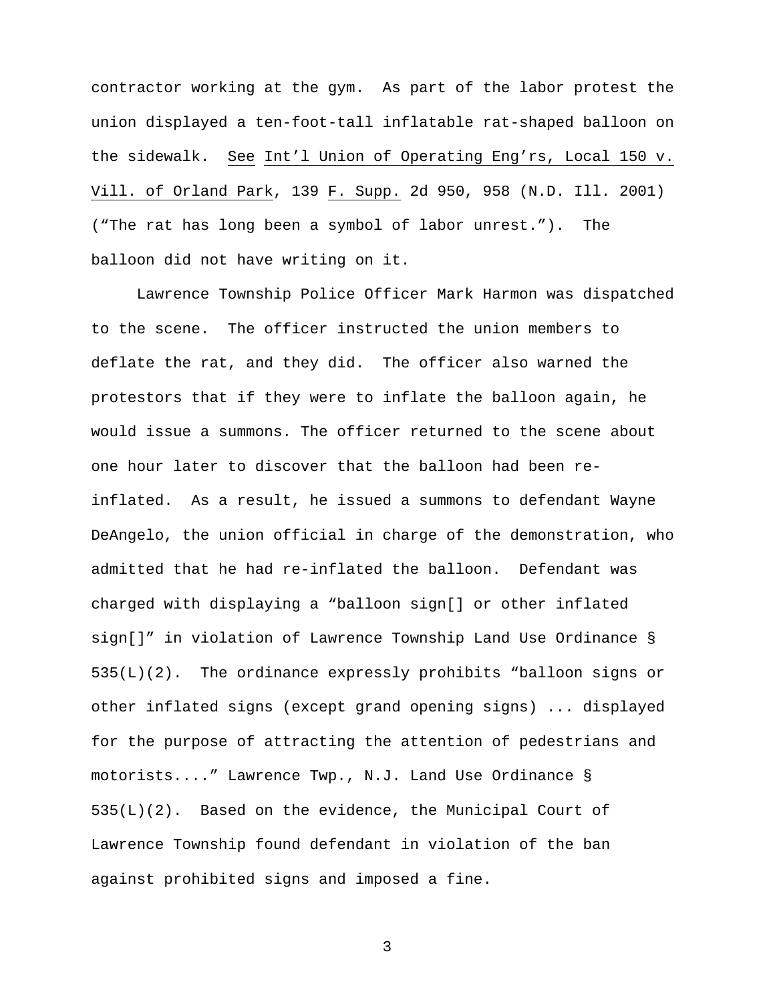contractor working at the gym. As part of the labor protest the union displayed a ten-foot-tall inflatable rat-shaped balloon on the sidewalk. See Int'l Union of Operating Eng'rs, Local 150 v. Vill. of Orland Park, 139 F. Supp. 2d 950, 958 (N.D. Ill. 2001) ("The rat has long been a symbol of labor unrest."). The balloon did not have writing on it.

Lawrence Township Police Officer Mark Harmon was dispatched to the scene. The officer instructed the union members to deflate the rat, and they did. The officer also warned the protestors that if they were to inflate the balloon again, he would issue a summons. The officer returned to the scene about one hour later to discover that the balloon had been reinflated. As a result, he issued a summons to defendant Wayne DeAngelo, the union official in charge of the demonstration, who admitted that he had re-inflated the balloon. Defendant was charged with displaying a "balloon sign[] or other inflated sign[]" in violation of Lawrence Township Land Use Ordinance § 535(L)(2). The ordinance expressly prohibits "balloon signs or other inflated signs (except grand opening signs) ... displayed for the purpose of attracting the attention of pedestrians and motorists...." Lawrence Twp., N.J. Land Use Ordinance § 535(L)(2). Based on the evidence, the Municipal Court of Lawrence Township found defendant in violation of the ban against prohibited signs and imposed a fine.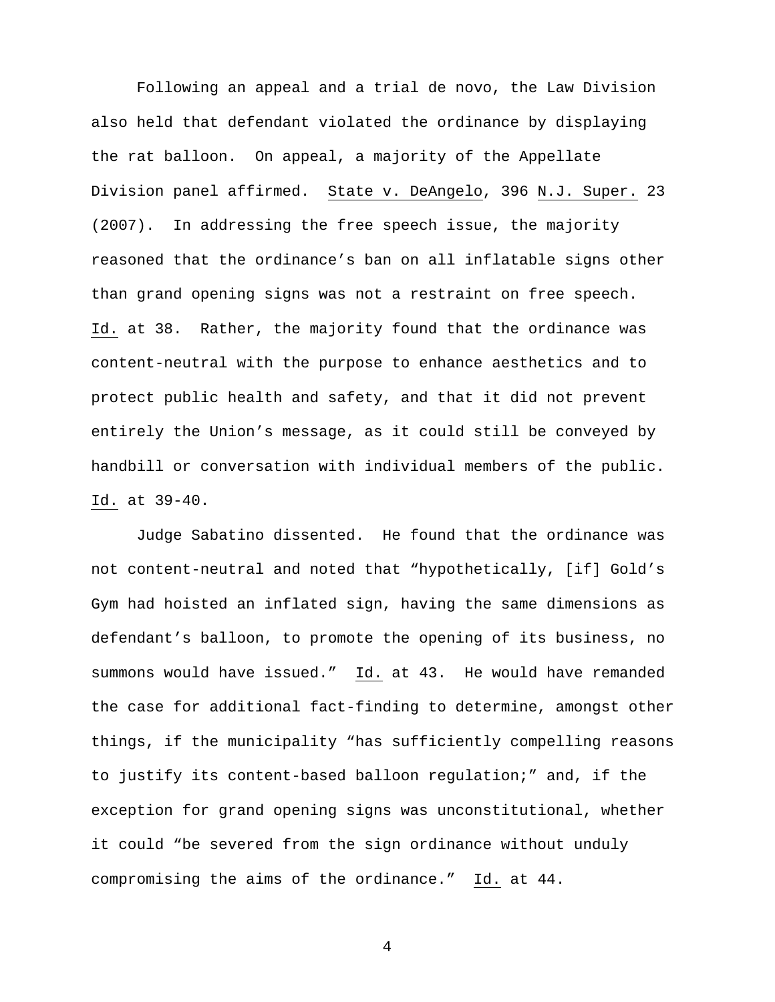Following an appeal and a trial de novo, the Law Division also held that defendant violated the ordinance by displaying the rat balloon. On appeal, a majority of the Appellate Division panel affirmed. State v. DeAngelo, 396 N.J. Super. 23 (2007). In addressing the free speech issue, the majority reasoned that the ordinance's ban on all inflatable signs other than grand opening signs was not a restraint on free speech. Id. at 38. Rather, the majority found that the ordinance was content-neutral with the purpose to enhance aesthetics and to protect public health and safety, and that it did not prevent entirely the Union's message, as it could still be conveyed by handbill or conversation with individual members of the public. Id. at 39-40.

 Judge Sabatino dissented. He found that the ordinance was not content-neutral and noted that "hypothetically, [if] Gold's Gym had hoisted an inflated sign, having the same dimensions as defendant's balloon, to promote the opening of its business, no summons would have issued." Id. at 43. He would have remanded the case for additional fact-finding to determine, amongst other things, if the municipality "has sufficiently compelling reasons to justify its content-based balloon regulation;" and, if the exception for grand opening signs was unconstitutional, whether it could "be severed from the sign ordinance without unduly compromising the aims of the ordinance." Id. at 44.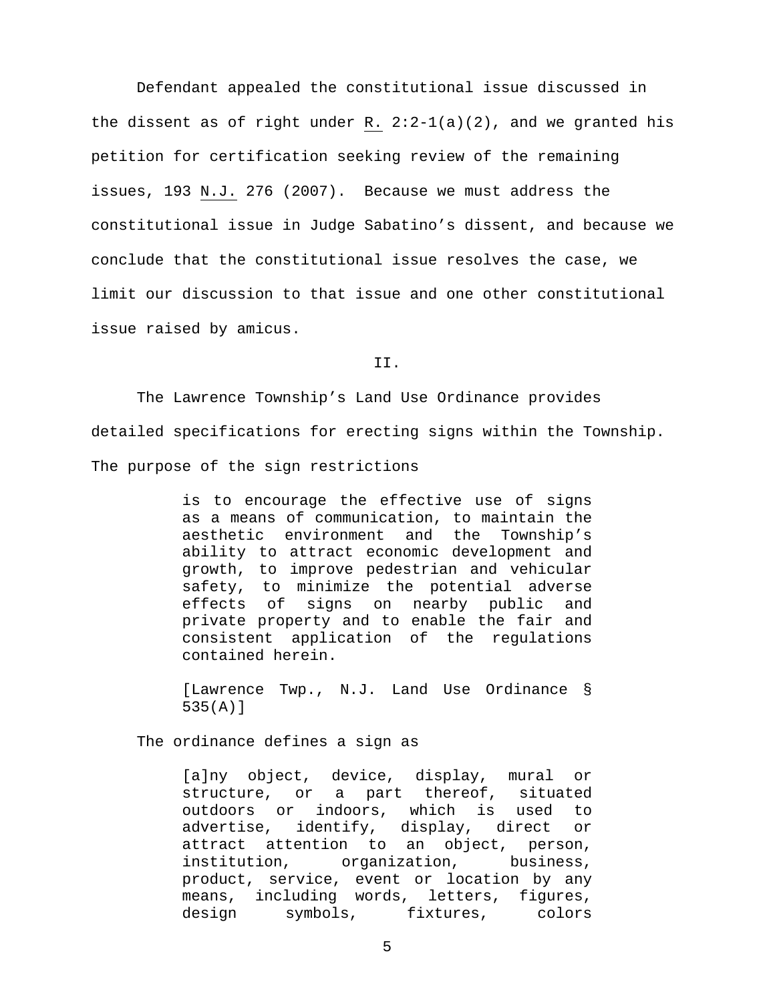Defendant appealed the constitutional issue discussed in the dissent as of right under R.  $2:2-1(a)(2)$ , and we granted his petition for certification seeking review of the remaining issues, 193 N.J. 276 (2007). Because we must address the constitutional issue in Judge Sabatino's dissent, and because we conclude that the constitutional issue resolves the case, we limit our discussion to that issue and one other constitutional issue raised by amicus.

II.

The Lawrence Township's Land Use Ordinance provides detailed specifications for erecting signs within the Township. The purpose of the sign restrictions

> is to encourage the effective use of signs as a means of communication, to maintain the aesthetic environment and the Township's ability to attract economic development and growth, to improve pedestrian and vehicular safety, to minimize the potential adverse effects of signs on nearby public and private property and to enable the fair and consistent application of the regulations contained herein.

> [Lawrence Twp., N.J. Land Use Ordinance § 535(A)]

The ordinance defines a sign as

[a]ny object, device, display, mural or structure, or a part thereof, situated outdoors or indoors, which is used to advertise, identify, display, direct or attract attention to an object, person, institution, organization, business, product, service, event or location by any means, including words, letters, figures, design symbols, fixtures, colors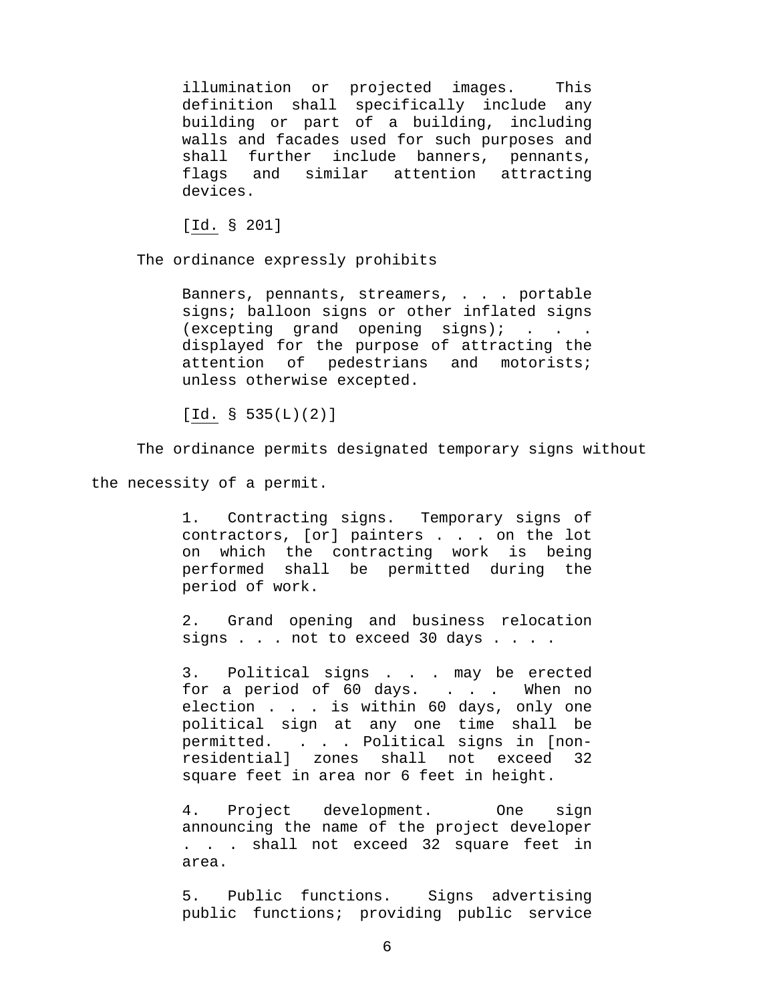illumination or projected images. This definition shall specifically include any building or part of a building, including walls and facades used for such purposes and shall further include banners, pennants, flags and similar attention attracting devices.

[Id. § 201]

The ordinance expressly prohibits

Banners, pennants, streamers, . . . portable signs; balloon signs or other inflated signs  $(excepting grand opening signal)$ ; . . displayed for the purpose of attracting the attention of pedestrians and motorists; unless otherwise excepted.

 $[Id. § 535(L)(2)]$ 

The ordinance permits designated temporary signs without

the necessity of a permit.

1. Contracting signs. Temporary signs of contractors, [or] painters . . . on the lot on which the contracting work is being performed shall be permitted during the period of work.

2. Grand opening and business relocation signs . . . not to exceed 30 days . . . .

3. Political signs . . . may be erected for a period of 60 days. . . . When no election . . . is within 60 days, only one political sign at any one time shall be permitted. . . . Political signs in [nonresidential] zones shall not exceed 32 square feet in area nor 6 feet in height.

4. Project development. One sign announcing the name of the project developer . . . shall not exceed 32 square feet in area.

5. Public functions. Signs advertising public functions; providing public service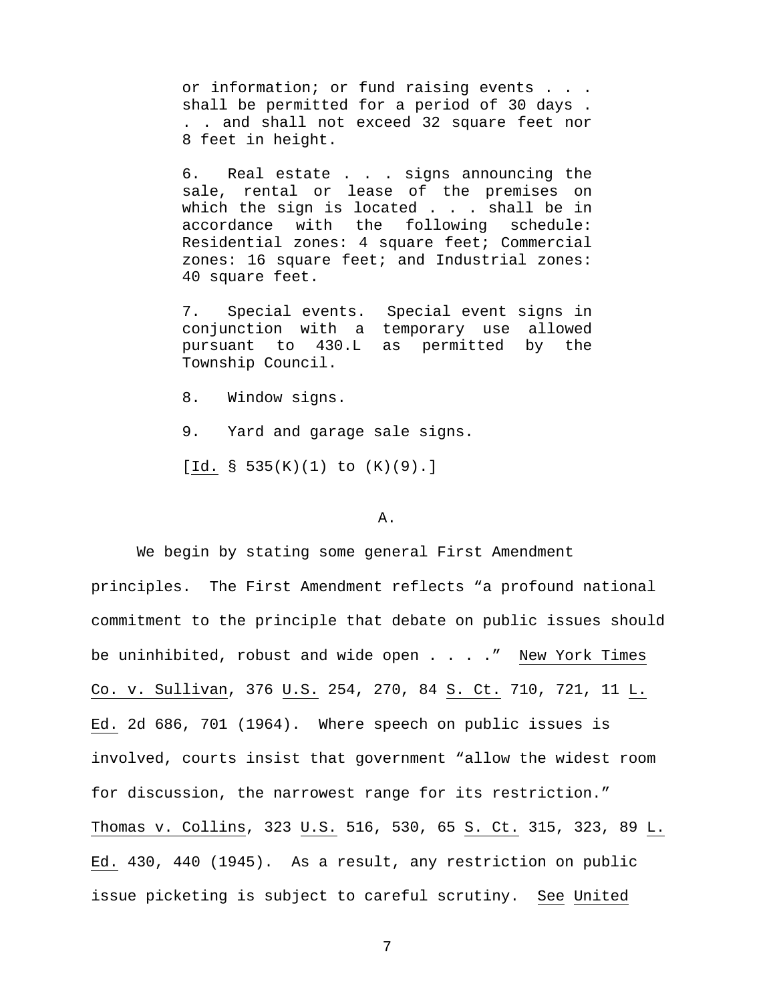or information; or fund raising events . . . shall be permitted for a period of 30 days . . . and shall not exceed 32 square feet nor 8 feet in height.

6. Real estate . . . signs announcing the sale, rental or lease of the premises on which the sign is located . . . shall be in accordance with the following schedule: Residential zones: 4 square feet; Commercial zones: 16 square feet; and Industrial zones: 40 square feet.

7. Special events. Special event signs in conjunction with a temporary use allowed pursuant to 430.L as permitted by the Township Council.

- 8. Window signs.
- 9. Yard and garage sale signs.

[Id. § 535 $(K)(1)$  to  $(K)(9)$ .]

### A.

 We begin by stating some general First Amendment principles. The First Amendment reflects "a profound national commitment to the principle that debate on public issues should be uninhibited, robust and wide open . . . . " New York Times Co. v. Sullivan, 376 U.S. 254, 270, 84 S. Ct. 710, 721, 11 L. Ed. 2d 686, 701 (1964). Where speech on public issues is involved, courts insist that government "allow the widest room for discussion, the narrowest range for its restriction." Thomas v. Collins, 323 U.S. 516, 530, 65 S. Ct. 315, 323, 89 L. Ed. 430, 440 (1945). As a result, any restriction on public issue picketing is subject to careful scrutiny. See United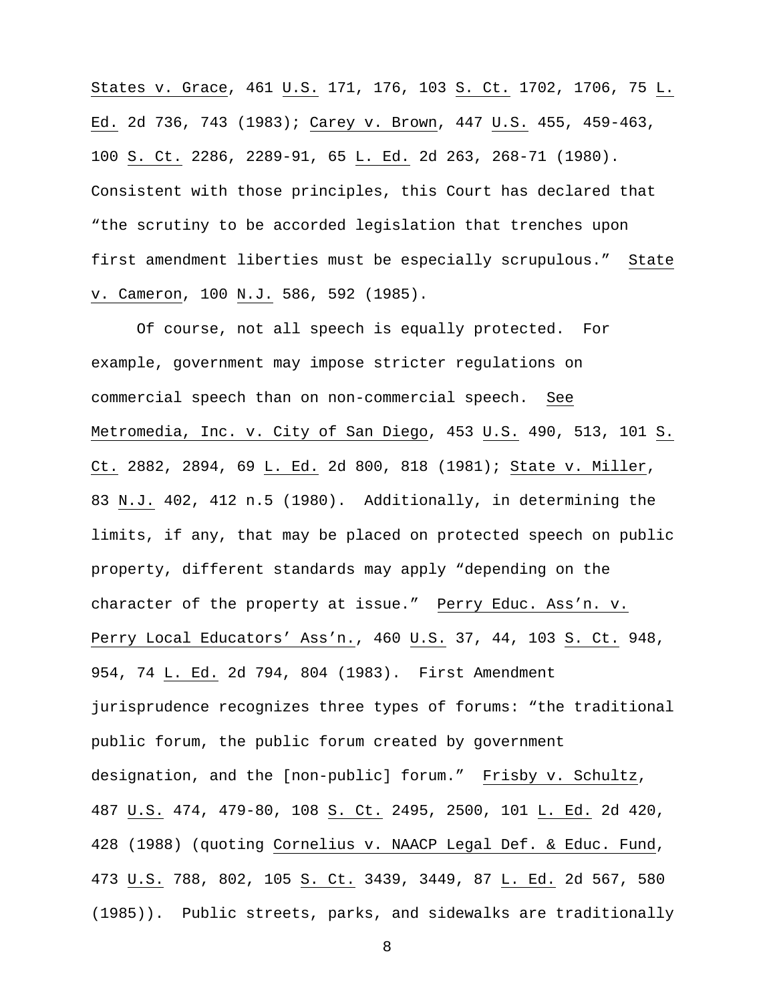States v. Grace, 461 U.S. 171, 176, 103 S. Ct. 1702, 1706, 75 L. Ed. 2d 736, 743 (1983); Carey v. Brown, 447 U.S. 455, 459-463, 100 S. Ct. 2286, 2289-91, 65 L. Ed. 2d 263, 268-71 (1980). Consistent with those principles, this Court has declared that "the scrutiny to be accorded legislation that trenches upon first amendment liberties must be especially scrupulous." State v. Cameron, 100 N.J. 586, 592 (1985).

 Of course, not all speech is equally protected. For example, government may impose stricter regulations on commercial speech than on non-commercial speech. See Metromedia, Inc. v. City of San Diego, 453 U.S. 490, 513, 101 S. Ct. 2882, 2894, 69 L. Ed. 2d 800, 818 (1981); State v. Miller, 83 N.J. 402, 412 n.5 (1980). Additionally, in determining the limits, if any, that may be placed on protected speech on public property, different standards may apply "depending on the character of the property at issue." Perry Educ. Ass'n. v. Perry Local Educators' Ass'n., 460 U.S. 37, 44, 103 S. Ct. 948, 954, 74 L. Ed. 2d 794, 804 (1983). First Amendment jurisprudence recognizes three types of forums: "the traditional public forum, the public forum created by government designation, and the [non-public] forum." Frisby v. Schultz, 487 U.S. 474, 479-80, 108 S. Ct. 2495, 2500, 101 L. Ed. 2d 420, 428 (1988) (quoting Cornelius v. NAACP Legal Def. & Educ. Fund, 473 U.S. 788, 802, 105 S. Ct. 3439, 3449, 87 L. Ed. 2d 567, 580 (1985)). Public streets, parks, and sidewalks are traditionally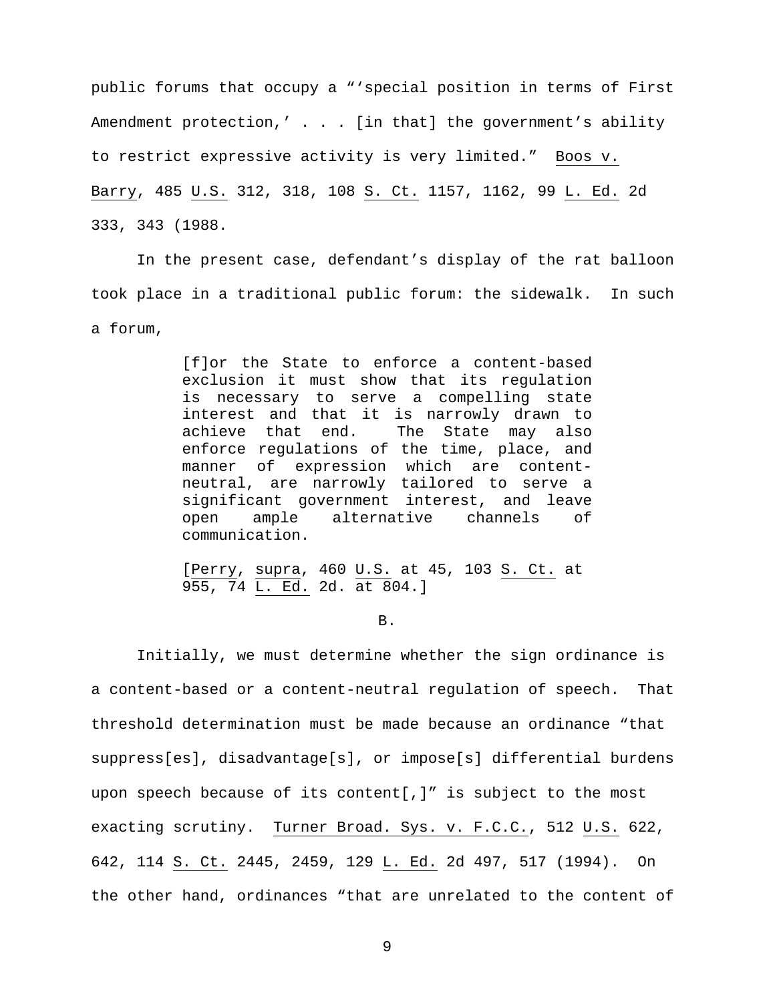public forums that occupy a "'special position in terms of First Amendment protection,' . . . [in that] the government's ability to restrict expressive activity is very limited." Boos v. Barry, 485 U.S. 312, 318, 108 S. Ct. 1157, 1162, 99 L. Ed. 2d 333, 343 (1988.

In the present case, defendant's display of the rat balloon took place in a traditional public forum: the sidewalk. In such a forum,

> [f]or the State to enforce a content-based exclusion it must show that its regulation is necessary to serve a compelling state interest and that it is narrowly drawn to achieve that end. The State may also enforce regulations of the time, place, and manner of expression which are contentneutral, are narrowly tailored to serve a significant government interest, and leave open ample alternative channels of communication.

[Perry, supra, 460 U.S. at 45, 103 S. Ct. at 955, 74 L. Ed. 2d. at 804.]

B.

 Initially, we must determine whether the sign ordinance is a content-based or a content-neutral regulation of speech. That threshold determination must be made because an ordinance "that suppress[es], disadvantage[s], or impose[s] differential burdens upon speech because of its content[,]" is subject to the most exacting scrutiny. Turner Broad. Sys. v. F.C.C., 512 U.S. 622, 642, 114 S. Ct. 2445, 2459, 129 L. Ed. 2d 497, 517 (1994). On the other hand, ordinances "that are unrelated to the content of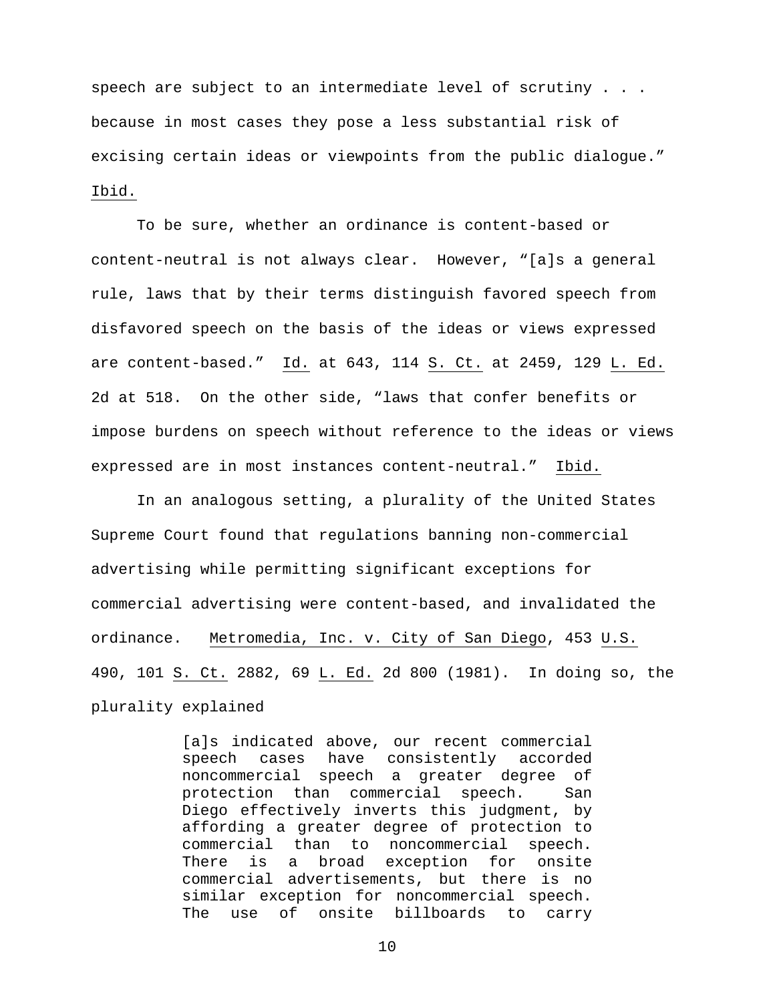speech are subject to an intermediate level of scrutiny . . . because in most cases they pose a less substantial risk of excising certain ideas or viewpoints from the public dialogue." Ibid.

 To be sure, whether an ordinance is content-based or content-neutral is not always clear. However, "[a]s a general rule, laws that by their terms distinguish favored speech from disfavored speech on the basis of the ideas or views expressed are content-based." Id. at 643, 114 S. Ct. at 2459, 129 L. Ed. 2d at 518. On the other side, "laws that confer benefits or impose burdens on speech without reference to the ideas or views expressed are in most instances content-neutral." Ibid.

 In an analogous setting, a plurality of the United States Supreme Court found that regulations banning non-commercial advertising while permitting significant exceptions for commercial advertising were content-based, and invalidated the ordinance. Metromedia, Inc. v. City of San Diego, 453 U.S. 490, 101 S. Ct. 2882, 69 L. Ed. 2d 800 (1981). In doing so, the plurality explained

> [a]s indicated above, our recent commercial speech cases have consistently accorded noncommercial speech a greater degree of protection than commercial speech. San Diego effectively inverts this judgment, by affording a greater degree of protection to commercial than to noncommercial speech. There is a broad exception for onsite commercial advertisements, but there is no similar exception for noncommercial speech. The use of onsite billboards to carry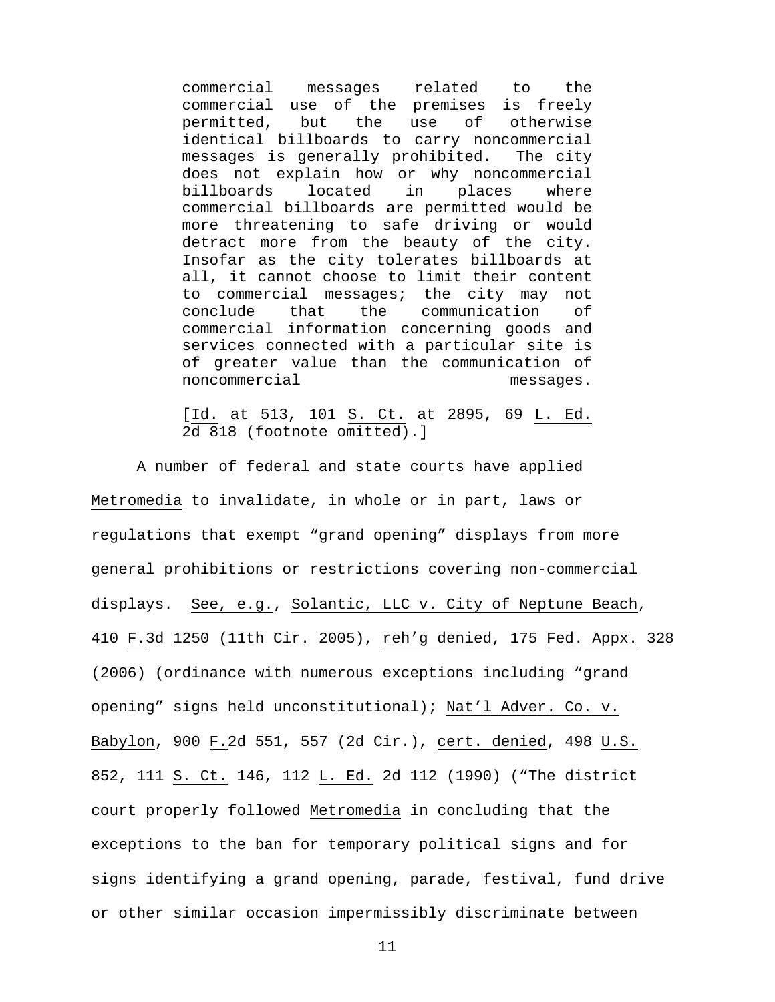commercial messages related to the commercial use of the premises is freely permitted, but the use of otherwise identical billboards to carry noncommercial messages is generally prohibited. The city does not explain how or why noncommercial billboards located in places where commercial billboards are permitted would be more threatening to safe driving or would detract more from the beauty of the city. Insofar as the city tolerates billboards at all, it cannot choose to limit their content to commercial messages; the city may not conclude that the communication of commercial information concerning goods and services connected with a particular site is of greater value than the communication of noncommercial messages.

[Id. at 513, 101 S. Ct. at 2895, 69 L. Ed. 2d 818 (footnote omitted).]

 A number of federal and state courts have applied Metromedia to invalidate, in whole or in part, laws or regulations that exempt "grand opening" displays from more general prohibitions or restrictions covering non-commercial displays. See, e.g., Solantic, LLC v. City of Neptune Beach, 410 F.3d 1250 (11th Cir. 2005), reh'g denied, 175 Fed. Appx. 328 (2006) (ordinance with numerous exceptions including "grand opening" signs held unconstitutional); Nat'l Adver. Co. v. Babylon, 900 F.2d 551, 557 (2d Cir.), cert. denied, 498 U.S. 852, 111 S. Ct. 146, 112 L. Ed. 2d 112 (1990) ("The district court properly followed Metromedia in concluding that the exceptions to the ban for temporary political signs and for signs identifying a grand opening, parade, festival, fund drive or other similar occasion impermissibly discriminate between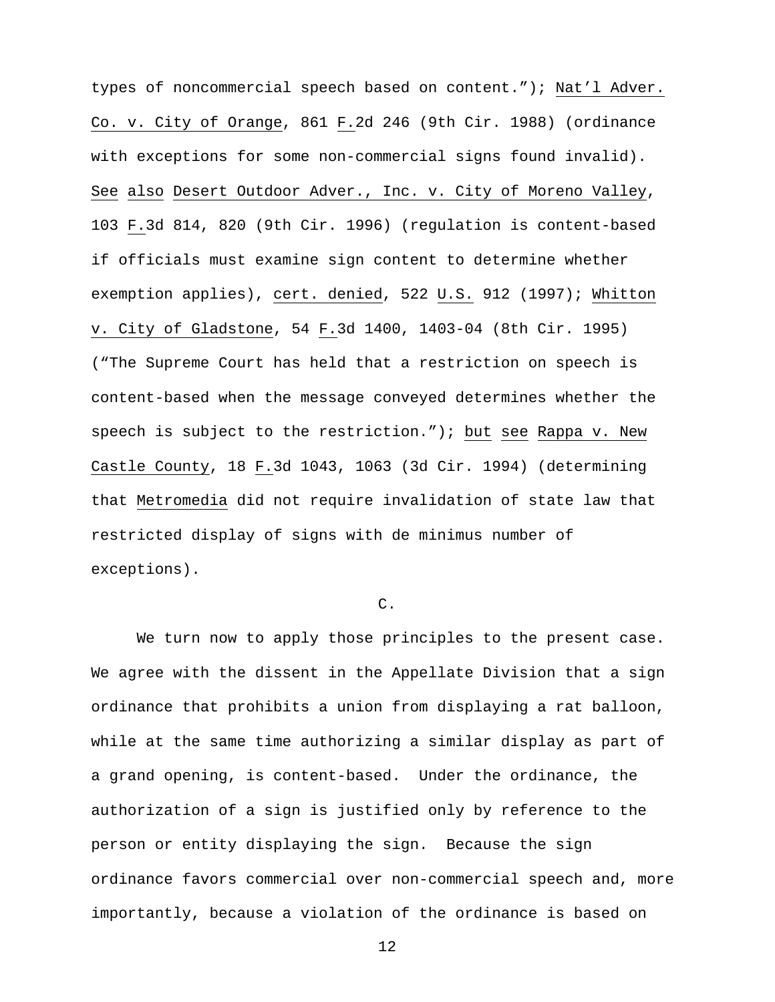types of noncommercial speech based on content."); Nat'l Adver. Co. v. City of Orange, 861 F.2d 246 (9th Cir. 1988) (ordinance with exceptions for some non-commercial signs found invalid). See also Desert Outdoor Adver., Inc. v. City of Moreno Valley, 103 F.3d 814, 820 (9th Cir. 1996) (regulation is content-based if officials must examine sign content to determine whether exemption applies), cert. denied, 522 U.S. 912 (1997); Whitton v. City of Gladstone, 54 F.3d 1400, 1403-04 (8th Cir. 1995) ("The Supreme Court has held that a restriction on speech is content-based when the message conveyed determines whether the speech is subject to the restriction."); but see Rappa v. New Castle County, 18 F.3d 1043, 1063 (3d Cir. 1994) (determining that Metromedia did not require invalidation of state law that restricted display of signs with de minimus number of exceptions).

## C.

 We turn now to apply those principles to the present case. We agree with the dissent in the Appellate Division that a sign ordinance that prohibits a union from displaying a rat balloon, while at the same time authorizing a similar display as part of a grand opening, is content-based. Under the ordinance, the authorization of a sign is justified only by reference to the person or entity displaying the sign. Because the sign ordinance favors commercial over non-commercial speech and, more importantly, because a violation of the ordinance is based on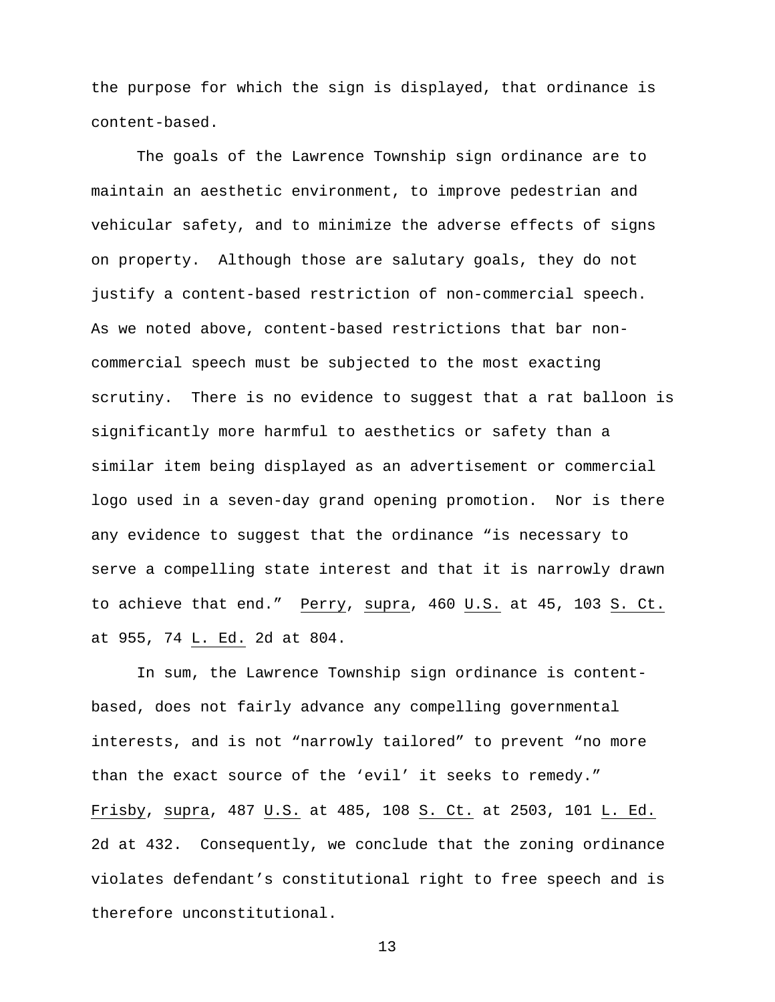the purpose for which the sign is displayed, that ordinance is content-based.

The goals of the Lawrence Township sign ordinance are to maintain an aesthetic environment, to improve pedestrian and vehicular safety, and to minimize the adverse effects of signs on property. Although those are salutary goals, they do not justify a content-based restriction of non-commercial speech. As we noted above, content-based restrictions that bar noncommercial speech must be subjected to the most exacting scrutiny. There is no evidence to suggest that a rat balloon is significantly more harmful to aesthetics or safety than a similar item being displayed as an advertisement or commercial logo used in a seven-day grand opening promotion. Nor is there any evidence to suggest that the ordinance "is necessary to serve a compelling state interest and that it is narrowly drawn to achieve that end." Perry, supra, 460 U.S. at 45, 103 S. Ct. at 955, 74 L. Ed. 2d at 804.

In sum, the Lawrence Township sign ordinance is contentbased, does not fairly advance any compelling governmental interests, and is not "narrowly tailored" to prevent "no more than the exact source of the 'evil' it seeks to remedy." Frisby, supra, 487 U.S. at 485, 108 S. Ct. at 2503, 101 L. Ed. 2d at 432. Consequently, we conclude that the zoning ordinance violates defendant's constitutional right to free speech and is therefore unconstitutional.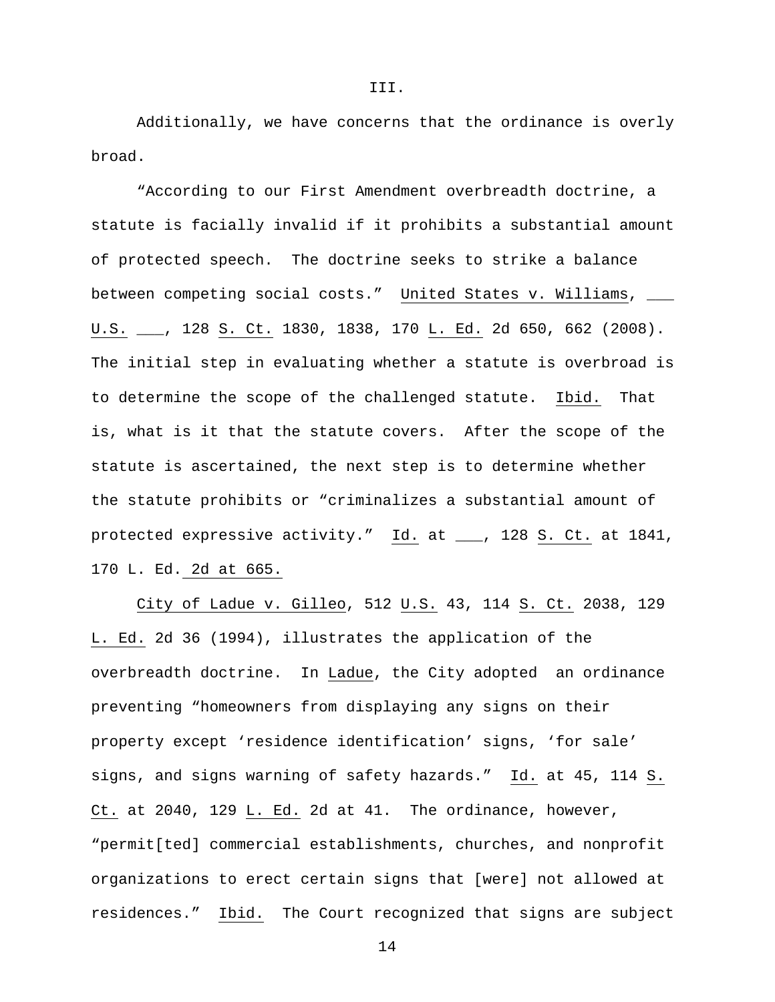Additionally, we have concerns that the ordinance is overly broad.

"According to our First Amendment overbreadth doctrine, a statute is facially invalid if it prohibits a substantial amount of protected speech. The doctrine seeks to strike a balance between competing social costs." United States v. Williams, \_\_\_ U.S. \_\_\_, 128 S. Ct. 1830, 1838, 170 L. Ed. 2d 650, 662 (2008). The initial step in evaluating whether a statute is overbroad is to determine the scope of the challenged statute. Ibid. That is, what is it that the statute covers. After the scope of the statute is ascertained, the next step is to determine whether the statute prohibits or "criminalizes a substantial amount of protected expressive activity." Id. at \_\_\_, 128 S. Ct. at 1841, 170 L. Ed. 2d at 665.

City of Ladue v. Gilleo, 512 U.S. 43, 114 S. Ct. 2038, 129 L. Ed. 2d 36 (1994), illustrates the application of the overbreadth doctrine. In Ladue, the City adopted an ordinance preventing "homeowners from displaying any signs on their property except 'residence identification' signs, 'for sale' signs, and signs warning of safety hazards." Id. at 45, 114 S. Ct. at 2040, 129 L. Ed. 2d at 41. The ordinance, however, "permit[ted] commercial establishments, churches, and nonprofit organizations to erect certain signs that [were] not allowed at residences." Ibid. The Court recognized that signs are subject

III.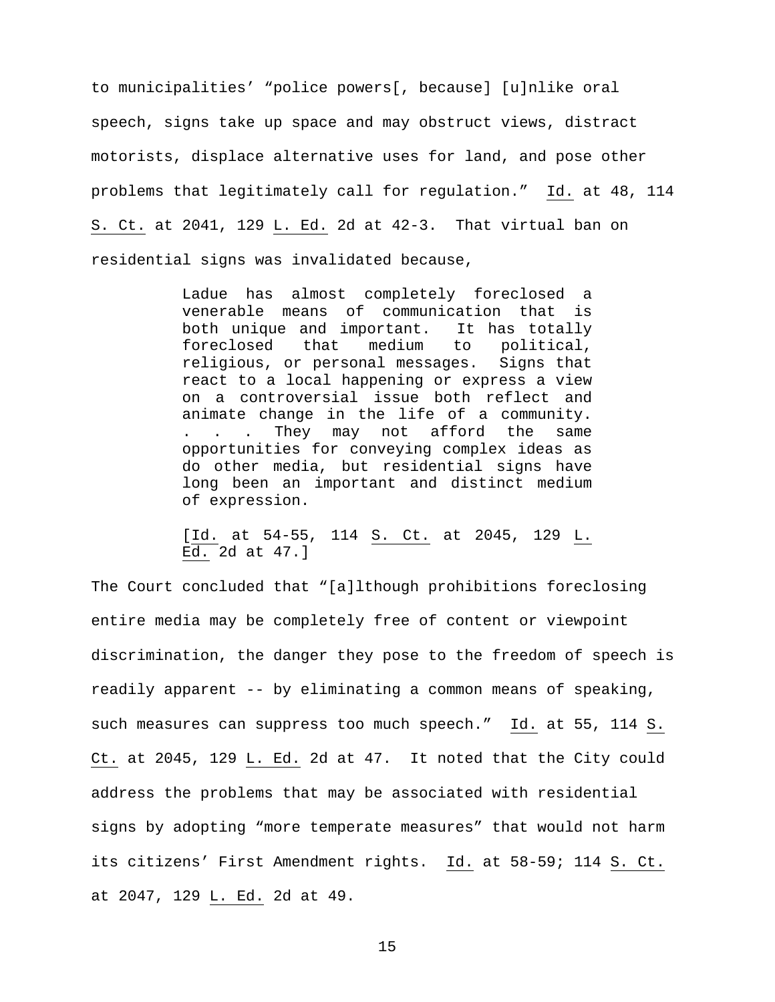to municipalities' "police powers[, because] [u]nlike oral speech, signs take up space and may obstruct views, distract motorists, displace alternative uses for land, and pose other problems that legitimately call for regulation." Id. at 48, 114 S. Ct. at 2041, 129 L. Ed. 2d at 42-3. That virtual ban on residential signs was invalidated because,

> Ladue has almost completely foreclosed a venerable means of communication that is both unique and important. It has totally foreclosed that medium to political, religious, or personal messages. Signs that react to a local happening or express a view on a controversial issue both reflect and animate change in the life of a community. . . . They may not afford the same opportunities for conveying complex ideas as do other media, but residential signs have long been an important and distinct medium of expression.

> [Id. at 54-55, 114 S. Ct. at 2045, 129 L. Ed. 2d at 47.]

The Court concluded that "[a]lthough prohibitions foreclosing entire media may be completely free of content or viewpoint discrimination, the danger they pose to the freedom of speech is readily apparent -- by eliminating a common means of speaking, such measures can suppress too much speech." Id. at 55, 114 S. Ct. at 2045, 129 L. Ed. 2d at 47. It noted that the City could address the problems that may be associated with residential signs by adopting "more temperate measures" that would not harm its citizens' First Amendment rights. Id. at 58-59; 114 S. Ct. at 2047, 129 L. Ed. 2d at 49.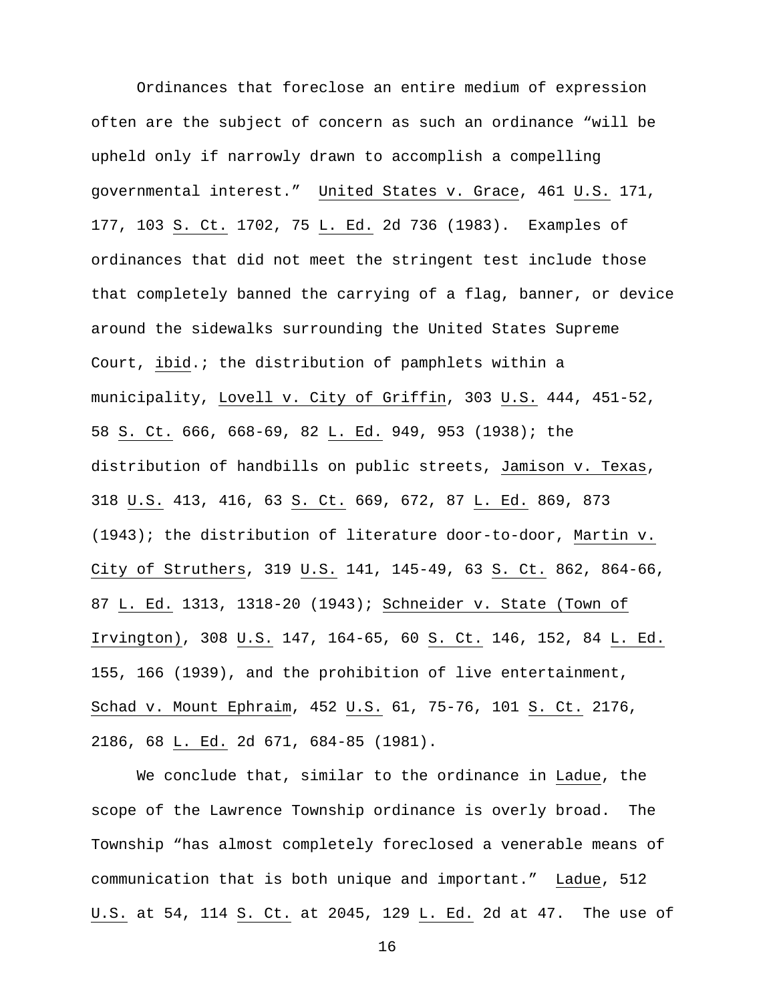Ordinances that foreclose an entire medium of expression often are the subject of concern as such an ordinance "will be upheld only if narrowly drawn to accomplish a compelling governmental interest." United States v. Grace, 461 U.S. 171, 177, 103 S. Ct. 1702, 75 L. Ed. 2d 736 (1983). Examples of ordinances that did not meet the stringent test include those that completely banned the carrying of a flag, banner, or device around the sidewalks surrounding the United States Supreme Court, ibid.; the distribution of pamphlets within a municipality, Lovell v. City of Griffin, 303 U.S. 444, 451-52, 58 S. Ct. 666, 668-69, 82 L. Ed. 949, 953 (1938); the distribution of handbills on public streets, Jamison v. Texas, 318 U.S. 413, 416, 63 S. Ct. 669, 672, 87 L. Ed. 869, 873 (1943); the distribution of literature door-to-door, Martin v. City of Struthers, 319 U.S. 141, 145-49, 63 S. Ct. 862, 864-66, 87 L. Ed. 1313, 1318-20 (1943); Schneider v. State (Town of Irvington), 308 U.S. 147, 164-65, 60 S. Ct. 146, 152, 84 L. Ed. 155, 166 (1939), and the prohibition of live entertainment, Schad v. Mount Ephraim, 452 U.S. 61, 75-76, 101 S. Ct. 2176, 2186, 68 L. Ed. 2d 671, 684-85 (1981).

We conclude that, similar to the ordinance in Ladue, the scope of the Lawrence Township ordinance is overly broad. The Township "has almost completely foreclosed a venerable means of communication that is both unique and important." Ladue, 512 U.S. at 54, 114 S. Ct. at 2045, 129 L. Ed. 2d at 47. The use of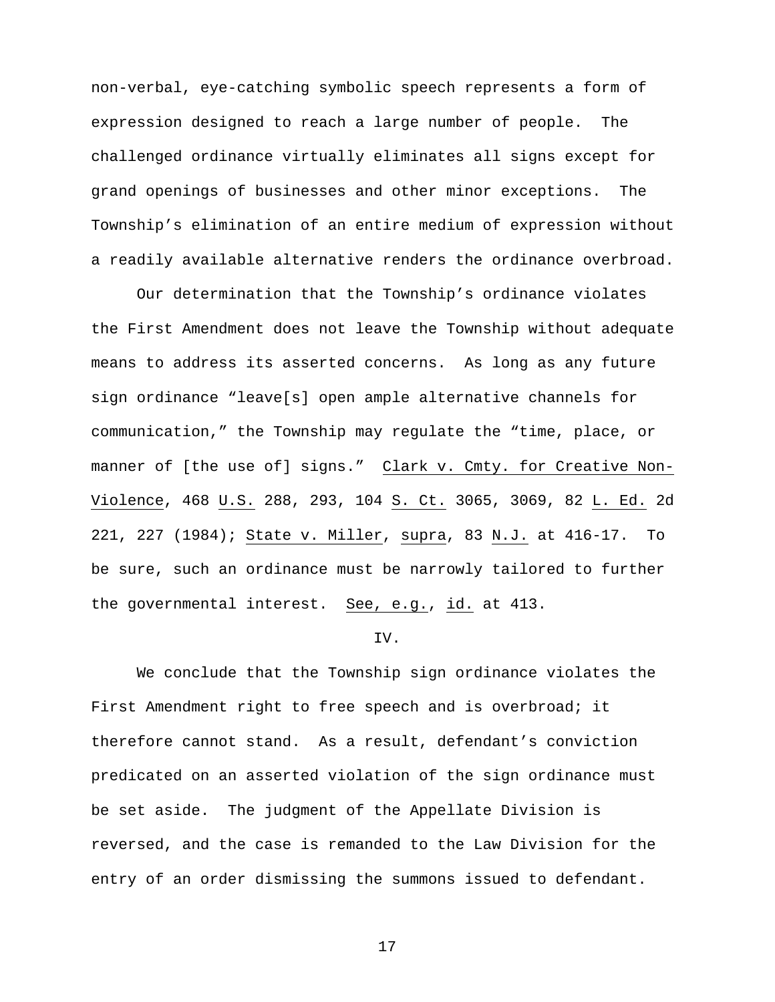non-verbal, eye-catching symbolic speech represents a form of expression designed to reach a large number of people. The challenged ordinance virtually eliminates all signs except for grand openings of businesses and other minor exceptions. The Township's elimination of an entire medium of expression without a readily available alternative renders the ordinance overbroad.

 Our determination that the Township's ordinance violates the First Amendment does not leave the Township without adequate means to address its asserted concerns. As long as any future sign ordinance "leave[s] open ample alternative channels for communication," the Township may regulate the "time, place, or manner of [the use of] signs." Clark v. Cmty. for Creative Non-Violence, 468 U.S. 288, 293, 104 S. Ct. 3065, 3069, 82 L. Ed. 2d 221, 227 (1984); State v. Miller, supra, 83 N.J. at 416-17. To be sure, such an ordinance must be narrowly tailored to further the governmental interest. See, e.g., id. at 413.

## IV.

 We conclude that the Township sign ordinance violates the First Amendment right to free speech and is overbroad; it therefore cannot stand. As a result, defendant's conviction predicated on an asserted violation of the sign ordinance must be set aside. The judgment of the Appellate Division is reversed, and the case is remanded to the Law Division for the entry of an order dismissing the summons issued to defendant.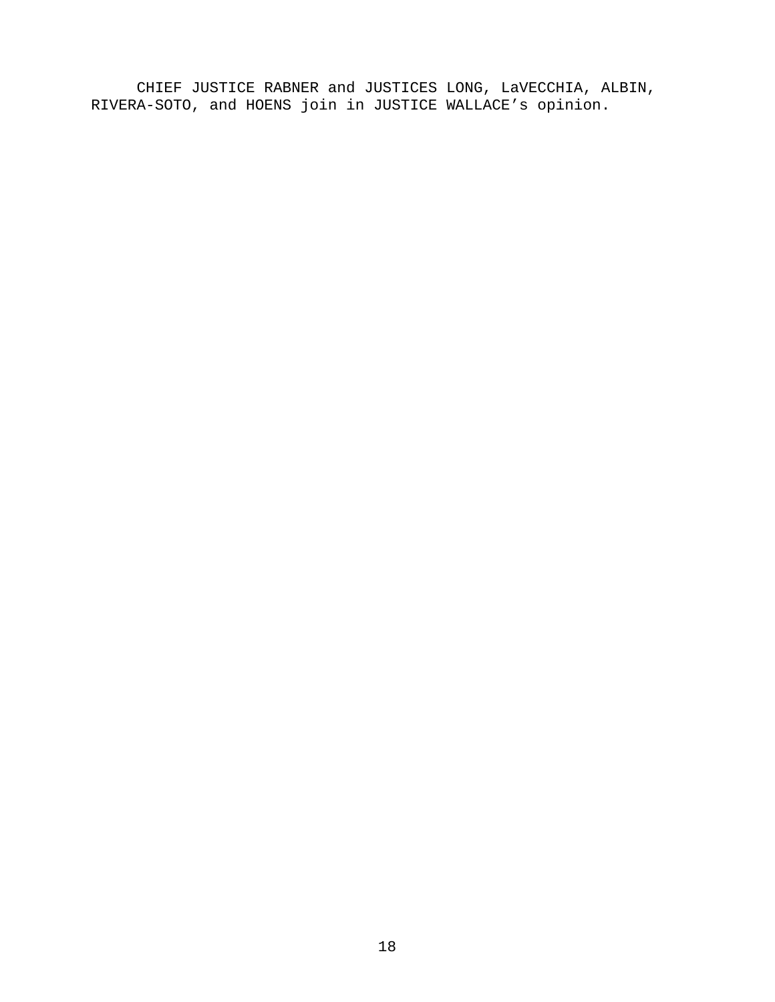CHIEF JUSTICE RABNER and JUSTICES LONG, LaVECCHIA, ALBIN, RIVERA-SOTO, and HOENS join in JUSTICE WALLACE's opinion.